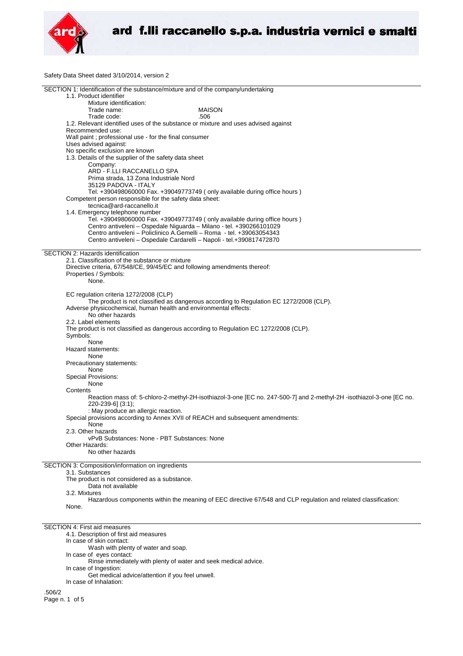

Safety Data Sheet dated 3/10/2014, version 2

| SECTION 1: Identification of the substance/mixture and of the company/undertaking                                    |
|----------------------------------------------------------------------------------------------------------------------|
| 1.1. Product identifier                                                                                              |
| Mixture identification:                                                                                              |
| Trade name:<br><b>MAISON</b><br>.506                                                                                 |
| Trade code:<br>1.2. Relevant identified uses of the substance or mixture and uses advised against                    |
| Recommended use:                                                                                                     |
| Wall paint ; professional use - for the final consumer                                                               |
| Uses advised against:                                                                                                |
| No specific exclusion are known                                                                                      |
| 1.3. Details of the supplier of the safety data sheet                                                                |
| Company:                                                                                                             |
| ARD - F.LLI RACCANELLO SPA                                                                                           |
| Prima strada, 13 Zona Industriale Nord                                                                               |
| 35129 PADOVA - ITALY                                                                                                 |
| Tel. +390498060000 Fax. +39049773749 ( only available during office hours )                                          |
| Competent person responsible for the safety data sheet:<br>tecnica@ard-raccanello.it                                 |
| 1.4. Emergency telephone number                                                                                      |
| Tel. +390498060000 Fax. +39049773749 (only available during office hours)                                            |
| Centro antiveleni - Ospedale Niguarda - Milano - tel. +390266101029                                                  |
| Centro antiveleni – Policlinico A.Gemelli – Roma - tel. +39063054343                                                 |
| Centro antiveleni - Ospedale Cardarelli - Napoli - tel.+390817472870                                                 |
|                                                                                                                      |
| SECTION 2: Hazards identification                                                                                    |
| 2.1. Classification of the substance or mixture                                                                      |
| Directive criteria, 67/548/CE, 99/45/EC and following amendments thereof:                                            |
| Properties / Symbols:                                                                                                |
| None.                                                                                                                |
| EC regulation criteria 1272/2008 (CLP)                                                                               |
| The product is not classified as dangerous according to Regulation EC 1272/2008 (CLP).                               |
| Adverse physicochemical, human health and environmental effects:                                                     |
| No other hazards                                                                                                     |
| 2.2. Label elements                                                                                                  |
| The product is not classified as dangerous according to Regulation EC 1272/2008 (CLP).                               |
| Symbols:                                                                                                             |
| None                                                                                                                 |
| Hazard statements:                                                                                                   |
| None                                                                                                                 |
| Precautionary statements:                                                                                            |
| None<br>Special Provisions:                                                                                          |
| None                                                                                                                 |
| Contents                                                                                                             |
| Reaction mass of: 5-chloro-2-methyl-2H-isothiazol-3-one [EC no. 247-500-7] and 2-methyl-2H -isothiazol-3-one [EC no. |
| 220-239-6] (3:1);                                                                                                    |
| : May produce an allergic reaction.                                                                                  |
| Special provisions according to Annex XVII of REACH and subsequent amendments:                                       |
| None                                                                                                                 |
| 2.3. Other hazards                                                                                                   |
| vPvB Substances: None - PBT Substances: None                                                                         |
| Other Hazards:                                                                                                       |
| No other hazards                                                                                                     |
| SECTION 3: Composition/information on ingredients                                                                    |
| 3.1. Substances                                                                                                      |
| The product is not considered as a substance.                                                                        |
| Data not available                                                                                                   |
| 3.2. Mixtures                                                                                                        |
| Hazardous components within the meaning of EEC directive 67/548 and CLP regulation and related classification:       |
| None.                                                                                                                |
|                                                                                                                      |
| <b>SECTION 4: First aid measures</b>                                                                                 |
| 4.1. Description of first aid measures                                                                               |
| In case of skin contact:                                                                                             |
| Wash with plenty of water and soap.                                                                                  |
| In case of eyes contact:                                                                                             |
| Rinse immediately with plenty of water and seek medical advice.                                                      |
| In case of Ingestion:                                                                                                |
| Get medical advice/attention if you feel unwell.                                                                     |
| In case of Inhalation:                                                                                               |
| .506/2                                                                                                               |

Page n. 1 of 5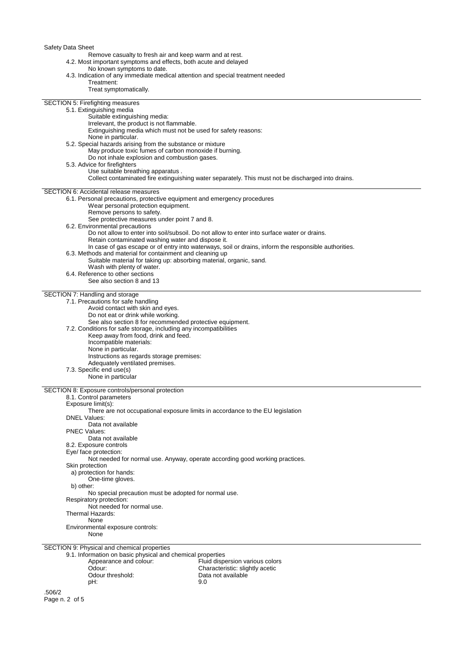Safety Data Sheet

Remove casualty to fresh air and keep warm and at rest.

4.2. Most important symptoms and effects, both acute and delayed

No known symptoms to date.

| 4.3. Indication of any immediate medical attention and special treatment needed                             |                                                                                                       |
|-------------------------------------------------------------------------------------------------------------|-------------------------------------------------------------------------------------------------------|
| Treatment:                                                                                                  |                                                                                                       |
| Treat symptomatically.                                                                                      |                                                                                                       |
| SECTION 5: Firefighting measures                                                                            |                                                                                                       |
| 5.1. Extinguishing media                                                                                    |                                                                                                       |
| Suitable extinguishing media:                                                                               |                                                                                                       |
| Irrelevant, the product is not flammable.<br>Extinguishing media which must not be used for safety reasons: |                                                                                                       |
| None in particular.                                                                                         |                                                                                                       |
| 5.2. Special hazards arising from the substance or mixture                                                  |                                                                                                       |
| May produce toxic fumes of carbon monoxide if burning.                                                      |                                                                                                       |
| Do not inhale explosion and combustion gases.                                                               |                                                                                                       |
| 5.3. Advice for firefighters                                                                                |                                                                                                       |
| Use suitable breathing apparatus.                                                                           | Collect contaminated fire extinguishing water separately. This must not be discharged into drains.    |
|                                                                                                             |                                                                                                       |
| SECTION 6: Accidental release measures                                                                      |                                                                                                       |
| 6.1. Personal precautions, protective equipment and emergency procedures                                    |                                                                                                       |
| Wear personal protection equipment.<br>Remove persons to safety.                                            |                                                                                                       |
| See protective measures under point 7 and 8.                                                                |                                                                                                       |
| 6.2. Environmental precautions                                                                              |                                                                                                       |
|                                                                                                             | Do not allow to enter into soil/subsoil. Do not allow to enter into surface water or drains.          |
| Retain contaminated washing water and dispose it.                                                           |                                                                                                       |
| 6.3. Methods and material for containment and cleaning up                                                   | In case of gas escape or of entry into waterways, soil or drains, inform the responsible authorities. |
| Suitable material for taking up: absorbing material, organic, sand.                                         |                                                                                                       |
| Wash with plenty of water.                                                                                  |                                                                                                       |
| 6.4. Reference to other sections                                                                            |                                                                                                       |
| See also section 8 and 13                                                                                   |                                                                                                       |
| SECTION 7: Handling and storage                                                                             |                                                                                                       |
| 7.1. Precautions for safe handling                                                                          |                                                                                                       |
| Avoid contact with skin and eyes.                                                                           |                                                                                                       |
| Do not eat or drink while working.                                                                          |                                                                                                       |
| See also section 8 for recommended protective equipment.                                                    |                                                                                                       |
| 7.2. Conditions for safe storage, including any incompatibilities<br>Keep away from food, drink and feed.   |                                                                                                       |
| Incompatible materials:                                                                                     |                                                                                                       |
| None in particular.                                                                                         |                                                                                                       |
| Instructions as regards storage premises:                                                                   |                                                                                                       |
| Adequately ventilated premises.                                                                             |                                                                                                       |
| 7.3. Specific end use(s)<br>None in particular                                                              |                                                                                                       |
|                                                                                                             |                                                                                                       |
| SECTION 8: Exposure controls/personal protection                                                            |                                                                                                       |
| 8.1. Control parameters                                                                                     |                                                                                                       |
| Exposure limit(s):                                                                                          |                                                                                                       |
| There are not occupational exposure limits in accordance to the EU legislation<br><b>DNEL Values:</b>       |                                                                                                       |
| Data not available                                                                                          |                                                                                                       |
| <b>PNEC Values:</b>                                                                                         |                                                                                                       |
| Data not available                                                                                          |                                                                                                       |
| 8.2. Exposure controls                                                                                      |                                                                                                       |
| Eye/ face protection:<br>Not needed for normal use. Anyway, operate according good working practices.       |                                                                                                       |
| Skin protection                                                                                             |                                                                                                       |
| a) protection for hands:                                                                                    |                                                                                                       |
| One-time gloves.                                                                                            |                                                                                                       |
| b) other:                                                                                                   |                                                                                                       |
| No special precaution must be adopted for normal use.<br>Respiratory protection:                            |                                                                                                       |
| Not needed for normal use.                                                                                  |                                                                                                       |
| Thermal Hazards:                                                                                            |                                                                                                       |
| None                                                                                                        |                                                                                                       |
| Environmental exposure controls:                                                                            |                                                                                                       |
| None                                                                                                        |                                                                                                       |
| SECTION 9: Physical and chemical properties                                                                 |                                                                                                       |
| 9.1. Information on basic physical and chemical properties                                                  |                                                                                                       |
| Appearance and colour:<br>Odour:                                                                            | Fluid dispersion various colors<br>Characteristic: slightly acetic                                    |
| Odour threshold:                                                                                            | Data not available                                                                                    |

pH: 9.0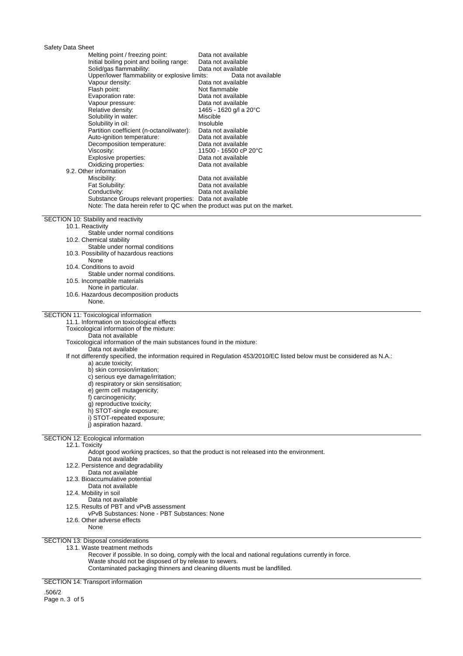# Safety Data Sheet

| Melting point / freezing point:                                                                                                    | Data not available<br>Data not available                                                                                  |
|------------------------------------------------------------------------------------------------------------------------------------|---------------------------------------------------------------------------------------------------------------------------|
| Initial boiling point and boiling range:<br>Solid/gas flammability:                                                                | Data not available                                                                                                        |
| Upper/lower flammability or explosive limits:                                                                                      | Data not available                                                                                                        |
| Vapour density:                                                                                                                    | Data not available                                                                                                        |
| Flash point:                                                                                                                       | Not flammable                                                                                                             |
| Evaporation rate:                                                                                                                  | Data not available                                                                                                        |
| Vapour pressure:                                                                                                                   | Data not available                                                                                                        |
| Relative density:                                                                                                                  | 1465 - 1620 g/l a 20°C                                                                                                    |
| Solubility in water:                                                                                                               | Miscible                                                                                                                  |
| Solubility in oil:                                                                                                                 | Insoluble                                                                                                                 |
| Partition coefficient (n-octanol/water):                                                                                           | Data not available                                                                                                        |
| Auto-ignition temperature:                                                                                                         | Data not available                                                                                                        |
| Decomposition temperature:                                                                                                         | Data not available                                                                                                        |
| Viscosity:                                                                                                                         | 11500 - 16500 cP 20°C                                                                                                     |
| Explosive properties:                                                                                                              | Data not available                                                                                                        |
| Oxidizing properties:                                                                                                              | Data not available                                                                                                        |
| 9.2. Other information                                                                                                             |                                                                                                                           |
| Miscibility:                                                                                                                       | Data not available                                                                                                        |
| Fat Solubility:                                                                                                                    | Data not available                                                                                                        |
| Conductivity:                                                                                                                      | Data not available                                                                                                        |
| Substance Groups relevant properties: Data not available                                                                           |                                                                                                                           |
| Note: The data herein refer to QC when the product was put on the market.                                                          |                                                                                                                           |
|                                                                                                                                    |                                                                                                                           |
| SECTION 10: Stability and reactivity                                                                                               |                                                                                                                           |
| 10.1. Reactivity<br>Stable under normal conditions                                                                                 |                                                                                                                           |
| 10.2. Chemical stability                                                                                                           |                                                                                                                           |
| Stable under normal conditions                                                                                                     |                                                                                                                           |
| 10.3. Possibility of hazardous reactions                                                                                           |                                                                                                                           |
| None                                                                                                                               |                                                                                                                           |
| 10.4. Conditions to avoid                                                                                                          |                                                                                                                           |
| Stable under normal conditions.                                                                                                    |                                                                                                                           |
| 10.5. Incompatible materials                                                                                                       |                                                                                                                           |
| None in particular.                                                                                                                |                                                                                                                           |
| 10.6. Hazardous decomposition products                                                                                             |                                                                                                                           |
| None.                                                                                                                              |                                                                                                                           |
|                                                                                                                                    |                                                                                                                           |
|                                                                                                                                    |                                                                                                                           |
| SECTION 11: Toxicological information                                                                                              |                                                                                                                           |
| 11.1. Information on toxicological effects                                                                                         |                                                                                                                           |
| Toxicological information of the mixture:                                                                                          |                                                                                                                           |
| Data not available                                                                                                                 |                                                                                                                           |
| Toxicological information of the main substances found in the mixture:                                                             |                                                                                                                           |
| Data not available                                                                                                                 |                                                                                                                           |
|                                                                                                                                    | If not differently specified, the information required in Regulation 453/2010/EC listed below must be considered as N.A.: |
| a) acute toxicity;                                                                                                                 |                                                                                                                           |
| b) skin corrosion/irritation;                                                                                                      |                                                                                                                           |
| c) serious eye damage/irritation;                                                                                                  |                                                                                                                           |
| d) respiratory or skin sensitisation;                                                                                              |                                                                                                                           |
| e) germ cell mutagenicity;                                                                                                         |                                                                                                                           |
| f) carcinogenicity;                                                                                                                |                                                                                                                           |
| g) reproductive toxicity;                                                                                                          |                                                                                                                           |
| h) STOT-single exposure;                                                                                                           |                                                                                                                           |
| i) STOT-repeated exposure;<br>i) aspiration hazard.                                                                                |                                                                                                                           |
|                                                                                                                                    |                                                                                                                           |
| SECTION 12: Ecological information                                                                                                 |                                                                                                                           |
| 12.1. Toxicity                                                                                                                     |                                                                                                                           |
|                                                                                                                                    | Adopt good working practices, so that the product is not released into the environment.                                   |
| Data not available                                                                                                                 |                                                                                                                           |
| 12.2. Persistence and degradability                                                                                                |                                                                                                                           |
| Data not available                                                                                                                 |                                                                                                                           |
| 12.3. Bioaccumulative potential                                                                                                    |                                                                                                                           |
| Data not available                                                                                                                 |                                                                                                                           |
| 12.4. Mobility in soil                                                                                                             |                                                                                                                           |
| Data not available                                                                                                                 |                                                                                                                           |
| 12.5. Results of PBT and vPvB assessment                                                                                           |                                                                                                                           |
| vPvB Substances: None - PBT Substances: None<br>12.6. Other adverse effects                                                        |                                                                                                                           |
| None                                                                                                                               |                                                                                                                           |
|                                                                                                                                    |                                                                                                                           |
| SECTION 13: Disposal considerations                                                                                                |                                                                                                                           |
| 13.1. Waste treatment methods                                                                                                      |                                                                                                                           |
|                                                                                                                                    | Recover if possible. In so doing, comply with the local and national regulations currently in force.                      |
| Waste should not be disposed of by release to sewers.<br>Contaminated packaging thinners and cleaning diluents must be landfilled. |                                                                                                                           |

SECTION 14: Transport information

.506/2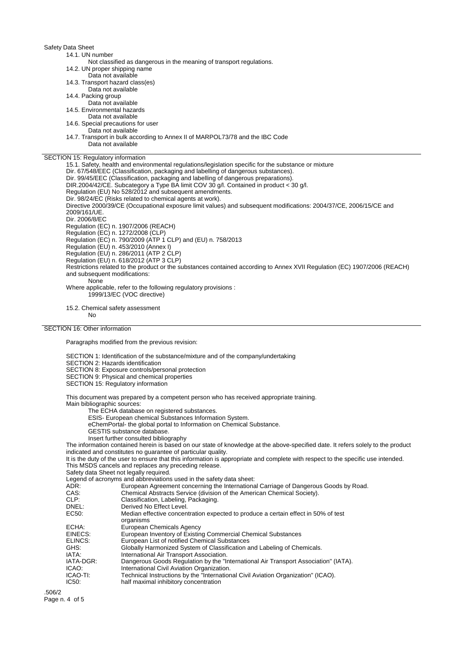### Safety Data Sheet

#### 14.1. UN number

- Not classified as dangerous in the meaning of transport regulations.
- 14.2. UN proper shipping name
- Data not available
- 14.3. Transport hazard class(es)
- Data not available
- 14.4. Packing group
- Data not available
- 14.5. Environmental hazards
- Data not available
- 14.6. Special precautions for user
- Data not available
- 14.7. Transport in bulk according to Annex II of MARPOL73/78 and the IBC Code Data not available

## SECTION 15: Regulatory information

15.1. Safety, health and environmental regulations/legislation specific for the substance or mixture Dir. 67/548/EEC (Classification, packaging and labelling of dangerous substances). Dir. 99/45/EEC (Classification, packaging and labelling of dangerous preparations). DIR.2004/42/CE. Subcategory a Type BA limit COV 30 g/l. Contained in product < 30 g/l. Regulation (EU) No 528/2012 and subsequent amendments. Dir. 98/24/EC (Risks related to chemical agents at work). Directive 2000/39/CE (Occupational exposure limit values) and subsequent modifications: 2004/37/CE, 2006/15/CE and 2009/161/UE. Dir. 2006/8/EC Regulation (EC) n. 1907/2006 (REACH) Regulation (EC) n. 1272/2008 (CLP) Regulation (EC) n. 790/2009 (ATP 1 CLP) and (EU) n. 758/2013 Regulation (EU) n. 453/2010 (Annex I) Regulation (EU) n. 286/2011 (ATP 2 CLP) Regulation (EU) n. 618/2012 (ATP 3 CLP) Restrictions related to the product or the substances contained according to Annex XVII Regulation (EC) 1907/2006 (REACH) and subsequent modifications: None Where applicable, refer to the following regulatory provisions : 1999/13/EC (VOC directive)

15.2. Chemical safety assessment No

## SECTION 16: Other information

Paragraphs modified from the previous revision:

SECTION 1: Identification of the substance/mixture and of the company/undertaking

SECTION 2: Hazards identification

- SECTION 8: Exposure controls/personal protection
- SECTION 9: Physical and chemical properties
- SECTION 15: Regulatory information

This document was prepared by a competent person who has received appropriate training.

Main bibliographic sources:

The ECHA database on registered substances.

- ESIS- European chemical Substances Information System.
- eChemPortal- the global portal to Information on Chemical Substance.
- GESTIS substance database.
- Insert further consulted bibliography

The information contained herein is based on our state of knowledge at the above-specified date. It refers solely to the product indicated and constitutes no guarantee of particular quality.

It is the duty of the user to ensure that this information is appropriate and complete with respect to the specific use intended. This MSDS cancels and replaces any preceding release.

Safety data Sheet not legally required.

Legend of acronyms and abbreviations used in the safety data sheet:

| ADR:      | European Agreement concerning the International Carriage of Dangerous Goods by Road.            |
|-----------|-------------------------------------------------------------------------------------------------|
| CAS:      | Chemical Abstracts Service (division of the American Chemical Society).                         |
| CLP:      | Classification, Labeling, Packaging.                                                            |
| DNEL:     | Derived No Effect Level.                                                                        |
| EC50:     | Median effective concentration expected to produce a certain effect in 50% of test<br>organisms |
| ECHA:     | European Chemicals Agency                                                                       |
| EINECS:   | European Inventory of Existing Commercial Chemical Substances                                   |
| ELINCS:   | European List of notified Chemical Substances                                                   |
| GHS:      | Globally Harmonized System of Classification and Labeling of Chemicals.                         |
| IATA:     | International Air Transport Association.                                                        |
| IATA-DGR: | Dangerous Goods Regulation by the "International Air Transport Association" (IATA).             |
| ICAO:     | International Civil Aviation Organization.                                                      |
| ICAO-TI:  | Technical Instructions by the "International Civil Aviation Organization" (ICAO).               |
| IC50:     | half maximal inhibitory concentration                                                           |
|           |                                                                                                 |